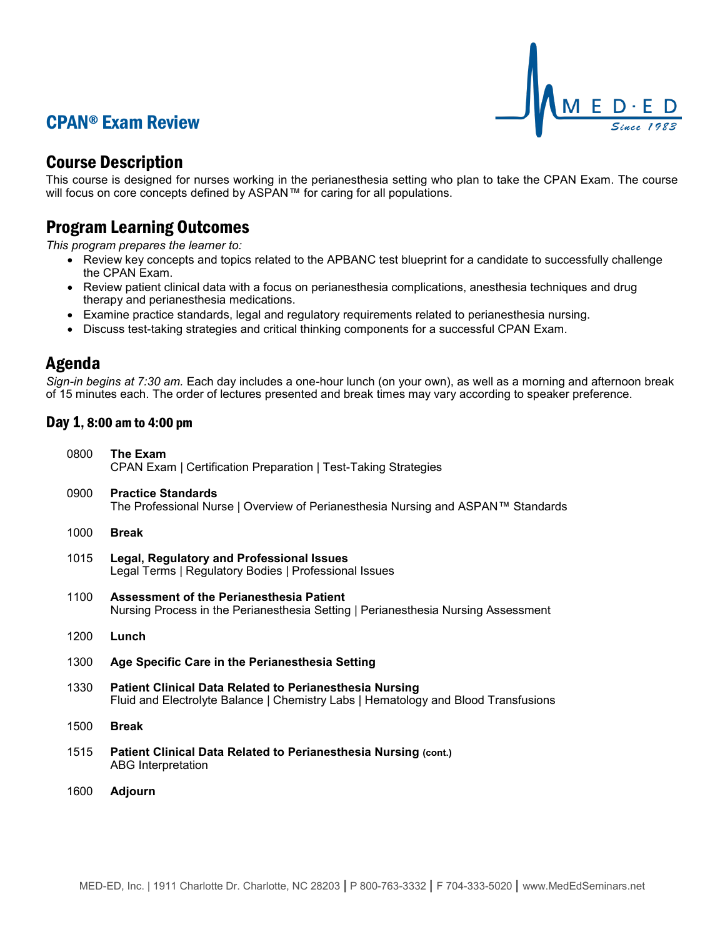## CPAN® Exam Review



## Course Description

This course is designed for nurses working in the perianesthesia setting who plan to take the CPAN Exam. The course will focus on core concepts defined by ASPAN™ for caring for all populations.

## Program Learning Outcomes

*This program prepares the learner to:*

- Review key concepts and topics related to the APBANC test blueprint for a candidate to successfully challenge the CPAN Exam.
- Review patient clinical data with a focus on perianesthesia complications, anesthesia techniques and drug therapy and perianesthesia medications.
- Examine practice standards, legal and regulatory requirements related to perianesthesia nursing.
- Discuss test-taking strategies and critical thinking components for a successful CPAN Exam.

### Agenda

*Sign-in begins at 7:30 am.* Each day includes a one-hour lunch (on your own), as well as a morning and afternoon break of 15 minutes each. The order of lectures presented and break times may vary according to speaker preference.

### Day 1, 8:00 am to 4:00 pm

| 0800 | The Exam<br>CPAN Exam   Certification Preparation   Test-Taking Strategies                                                                           |
|------|------------------------------------------------------------------------------------------------------------------------------------------------------|
| 0900 | <b>Practice Standards</b><br>The Professional Nurse   Overview of Perianesthesia Nursing and ASPAN™ Standards                                        |
| 1000 | <b>Break</b>                                                                                                                                         |
| 1015 | <b>Legal, Regulatory and Professional Issues</b><br>Legal Terms   Regulatory Bodies   Professional Issues                                            |
| 1100 | Assessment of the Perianesthesia Patient<br>Nursing Process in the Perianesthesia Setting   Perianesthesia Nursing Assessment                        |
| 1200 | Lunch                                                                                                                                                |
| 1300 | Age Specific Care in the Perianesthesia Setting                                                                                                      |
| 1330 | <b>Patient Clinical Data Related to Perianesthesia Nursing</b><br>Fluid and Electrolyte Balance   Chemistry Labs   Hematology and Blood Transfusions |
| 1500 | <b>Break</b>                                                                                                                                         |
| 1515 | Patient Clinical Data Related to Perianesthesia Nursing (cont.)<br><b>ABG</b> Interpretation                                                         |
| 1600 | <b>Adjourn</b>                                                                                                                                       |